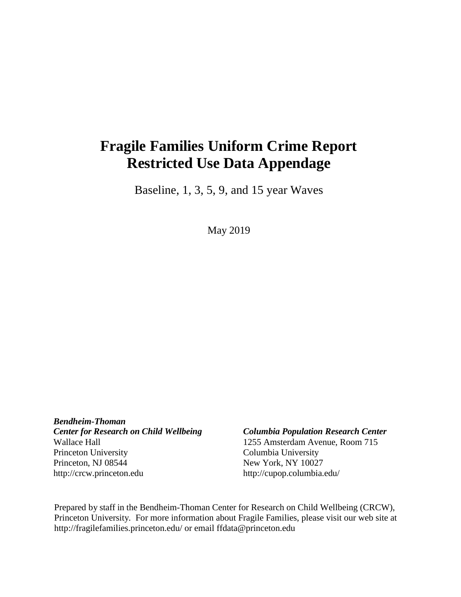# **Fragile Families Uniform Crime Report Restricted Use Data Appendage**

Baseline, 1, 3, 5, 9, and 15 year Waves

May 2019

*Bendheim-Thoman Center for Research on Child Wellbeing Columbia Population Research Center* Wallace Hall 1255 Amsterdam Avenue, Room 715 Princeton University Columbia University Princeton, NJ 08544 New York, NY 10027 [http://crcw.princeton.edu](http://crcw.princeton.edu/) [http://cupop.columbia.edu/](http://crcw.princeton.edu/)

Prepared by staff in the Bendheim-Thoman Center for Research on Child Wellbeing (CRCW), Princeton University. For more information about Fragile Families, please visit our web site [at](http://fragilefamilies.princeton.edu/)  [http://fragilefamilies.princeton.edu/ o](http://fragilefamilies.princeton.edu/)r email [ffdata@princeton.edu](mailto:ffdata@princeton.edu)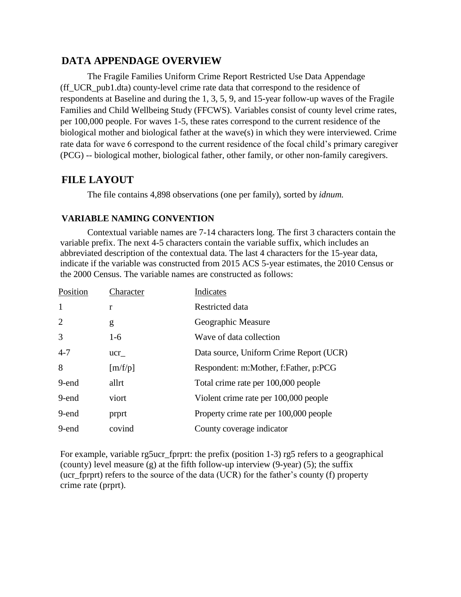#### **DATA APPENDAGE OVERVIEW**

The Fragile Families Uniform Crime Report Restricted Use Data Appendage (ff\_UCR\_pub1.dta) county-level crime rate data that correspond to the residence of respondents at Baseline and during the 1, 3, 5, 9, and 15-year follow-up waves of the Fragile Families and Child Wellbeing Study (FFCWS). Variables consist of county level crime rates, per 100,000 people. For waves 1-5, these rates correspond to the current residence of the biological mother and biological father at the wave(s) in which they were interviewed. Crime rate data for wave 6 correspond to the current residence of the focal child's primary caregiver (PCG) -- biological mother, biological father, other family, or other non-family caregivers.

### **FILE LAYOUT**

The file contains 4,898 observations (one per family), sorted by *idnum.*

#### **VARIABLE NAMING CONVENTION**

Contextual variable names are 7-14 characters long. The first 3 characters contain the variable prefix. The next 4-5 characters contain the variable suffix, which includes an abbreviated description of the contextual data. The last 4 characters for the 15-year data, indicate if the variable was constructed from 2015 ACS 5-year estimates, the 2010 Census or the 2000 Census. The variable names are constructed as follows:

| Position       | Character | Indicates                               |
|----------------|-----------|-----------------------------------------|
| $\mathbf{1}$   | r         | Restricted data                         |
| $\overline{2}$ | g         | Geographic Measure                      |
| 3              | $1-6$     | Wave of data collection                 |
| $4 - 7$        | ucr       | Data source, Uniform Crime Report (UCR) |
| 8              | [m/f/p]   | Respondent: m:Mother, f:Father, p:PCG   |
| 9-end          | allrt     | Total crime rate per 100,000 people     |
| 9-end          | viort     | Violent crime rate per 100,000 people   |
| 9-end          | prprt     | Property crime rate per 100,000 people  |
| 9-end          | covind    | County coverage indicator               |

For example, variable rg5ucr\_fprprt: the prefix (position 1-3) rg5 refers to a geographical (county) level measure (g) at the fifth follow-up interview (9-year) (5); the suffix (ucr\_fprprt) refers to the source of the data (UCR) for the father's county (f) property crime rate (prprt).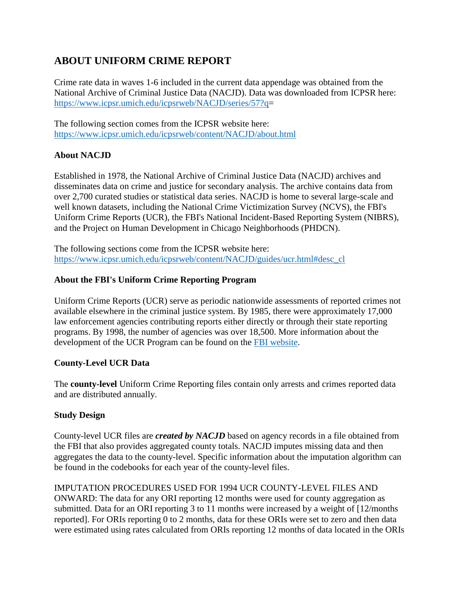# **ABOUT UNIFORM CRIME REPORT**

Crime rate data in waves 1-6 included in the current data appendage was obtained from the National Archive of Criminal Justice Data (NACJD). Data was downloaded from ICPSR here: [https://www.icpsr.umich.edu/icpsrweb/NACJD/series/57?q=](https://www.icpsr.umich.edu/icpsrweb/NACJD/series/57?q)

The following section comes from the ICPSR website here: <https://www.icpsr.umich.edu/icpsrweb/content/NACJD/about.html>

#### **About NACJD**

Established in 1978, the National Archive of Criminal Justice Data (NACJD) archives and disseminates data on crime and justice for secondary analysis. The archive contains data from over 2,700 curated studies or statistical data series. NACJD is home to several large-scale and well known datasets, including the National Crime Victimization Survey (NCVS), the FBI's Uniform Crime Reports (UCR), the FBI's National Incident-Based Reporting System (NIBRS), and the Project on Human Development in Chicago Neighborhoods (PHDCN).

The following sections come from the ICPSR website here: [https://www.icpsr.umich.edu/icpsrweb/content/NACJD/guides/ucr.html#desc\\_cl](https://www.icpsr.umich.edu/icpsrweb/content/NACJD/guides/ucr.html#desc_cl)

#### **About the FBI's Uniform Crime Reporting Program**

Uniform Crime Reports (UCR) serve as periodic nationwide assessments of reported crimes not available elsewhere in the criminal justice system. By 1985, there were approximately 17,000 law enforcement agencies contributing reports either directly or through their state reporting programs. By 1998, the number of agencies was over 18,500. More information about the development of the UCR Program can be found on the [FBI website.](http://www.fbi.gov/)

#### **County-Level UCR Data**

The **county-level** Uniform Crime Reporting files contain only arrests and crimes reported data and are distributed annually.

#### **Study Design**

County-level UCR files are *created by NACJD* based on agency records in a file obtained from the FBI that also provides aggregated county totals. NACJD imputes missing data and then aggregates the data to the county-level. Specific information about the imputation algorithm can be found in the codebooks for each year of the county-level files.

IMPUTATION PROCEDURES USED FOR 1994 UCR COUNTY-LEVEL FILES AND ONWARD: The data for any ORI reporting 12 months were used for county aggregation as submitted. Data for an ORI reporting 3 to 11 months were increased by a weight of [12/months reported]. For ORIs reporting 0 to 2 months, data for these ORIs were set to zero and then data were estimated using rates calculated from ORIs reporting 12 months of data located in the ORIs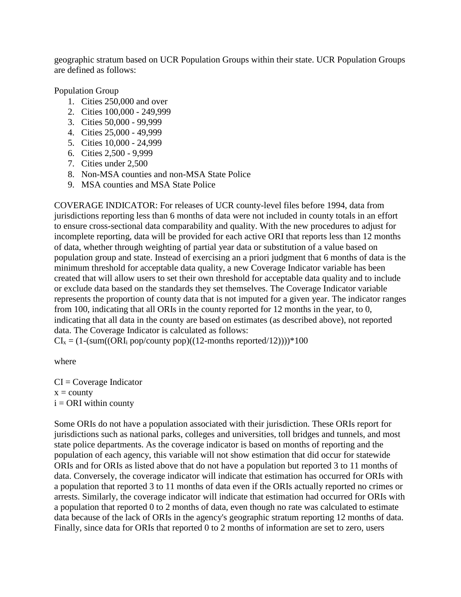geographic stratum based on UCR Population Groups within their state. UCR Population Groups are defined as follows:

Population Group

- 1. Cities 250,000 and over
- 2. Cities 100,000 249,999
- 3. Cities 50,000 99,999
- 4. Cities 25,000 49,999
- 5. Cities 10,000 24,999
- 6. Cities 2,500 9,999
- 7. Cities under 2,500
- 8. Non-MSA counties and non-MSA State Police
- 9. MSA counties and MSA State Police

COVERAGE INDICATOR: For releases of UCR county-level files before 1994, data from jurisdictions reporting less than 6 months of data were not included in county totals in an effort to ensure cross-sectional data comparability and quality. With the new procedures to adjust for incomplete reporting, data will be provided for each active ORI that reports less than 12 months of data, whether through weighting of partial year data or substitution of a value based on population group and state. Instead of exercising an a priori judgment that 6 months of data is the minimum threshold for acceptable data quality, a new Coverage Indicator variable has been created that will allow users to set their own threshold for acceptable data quality and to include or exclude data based on the standards they set themselves. The Coverage Indicator variable represents the proportion of county data that is not imputed for a given year. The indicator ranges from 100, indicating that all ORIs in the county reported for 12 months in the year, to 0, indicating that all data in the county are based on estimates (as described above), not reported data. The Coverage Indicator is calculated as follows:

 $CI<sub>x</sub> = (1-(sum((ORI<sub>i</sub> pop/county pop)((12-months reported/12))))*100$ 

where

 $CI = Coverage Indicator$  $x =$  county  $i = ORI$  within county

Some ORIs do not have a population associated with their jurisdiction. These ORIs report for jurisdictions such as national parks, colleges and universities, toll bridges and tunnels, and most state police departments. As the coverage indicator is based on months of reporting and the population of each agency, this variable will not show estimation that did occur for statewide ORIs and for ORIs as listed above that do not have a population but reported 3 to 11 months of data. Conversely, the coverage indicator will indicate that estimation has occurred for ORIs with a population that reported 3 to 11 months of data even if the ORIs actually reported no crimes or arrests. Similarly, the coverage indicator will indicate that estimation had occurred for ORIs with a population that reported 0 to 2 months of data, even though no rate was calculated to estimate data because of the lack of ORIs in the agency's geographic stratum reporting 12 months of data. Finally, since data for ORIs that reported 0 to 2 months of information are set to zero, users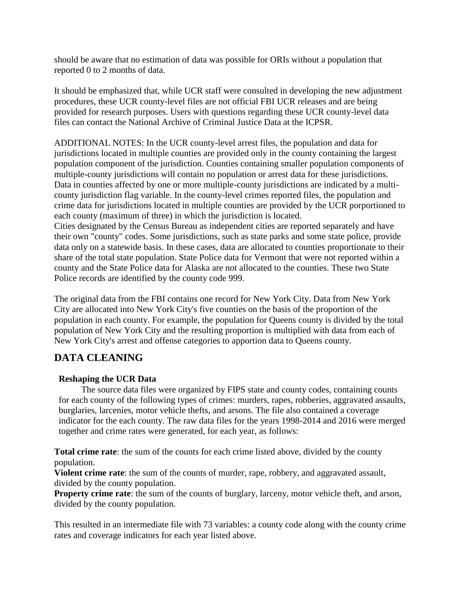should be aware that no estimation of data was possible for ORIs without a population that reported 0 to 2 months of data.

It should be emphasized that, while UCR staff were consulted in developing the new adjustment procedures, these UCR county-level files are not official FBI UCR releases and are being provided for research purposes. Users with questions regarding these UCR county-level data files can contact the National Archive of Criminal Justice Data at the ICPSR.

ADDITIONAL NOTES: In the UCR county-level arrest files, the population and data for jurisdictions located in multiple counties are provided only in the county containing the largest population component of the jurisdiction. Counties containing smaller population components of multiple-county jurisdictions will contain no population or arrest data for these jurisdictions. Data in counties affected by one or more multiple-county jurisdictions are indicated by a multicounty jurisdiction flag variable. In the county-level crimes reported files, the population and crime data for jurisdictions located in multiple counties are provided by the UCR porportioned to each county (maximum of three) in which the jurisdiction is located.

Cities designated by the Census Bureau as independent cities are reported separately and have their own "county" codes. Some jurisdictions, such as state parks and some state police, provide data only on a statewide basis. In these cases, data are allocated to counties proportionate to their share of the total state population. State Police data for Vermont that were not reported within a county and the State Police data for Alaska are not allocated to the counties. These two State Police records are identified by the county code 999.

The original data from the FBI contains one record for New York City. Data from New York City are allocated into New York City's five counties on the basis of the proportion of the population in each county. For example, the population for Queens county is divided by the total population of New York City and the resulting proportion is multiplied with data from each of New York City's arrest and offense categories to apportion data to Queens county.

## **DATA CLEANING**

#### **Reshaping the UCR Data**

The source data files were organized by FIPS state and county codes, containing counts for each county of the following types of crimes: murders, rapes, robberies, aggravated assaults, burglaries, larcenies, motor vehicle thefts, and arsons. The file also contained a coverage indicator for the each county. The raw data files for the years 1998-2014 and 2016 were merged together and crime rates were generated, for each year, as follows:

**Total crime rate**: the sum of the counts for each crime listed above, divided by the county population.

**Violent crime rate**: the sum of the counts of murder, rape, robbery, and aggravated assault, divided by the county population.

**Property crime rate**: the sum of the counts of burglary, larceny, motor vehicle theft, and arson, divided by the county population.

This resulted in an intermediate file with 73 variables: a county code along with the county crime rates and coverage indicators for each year listed above.